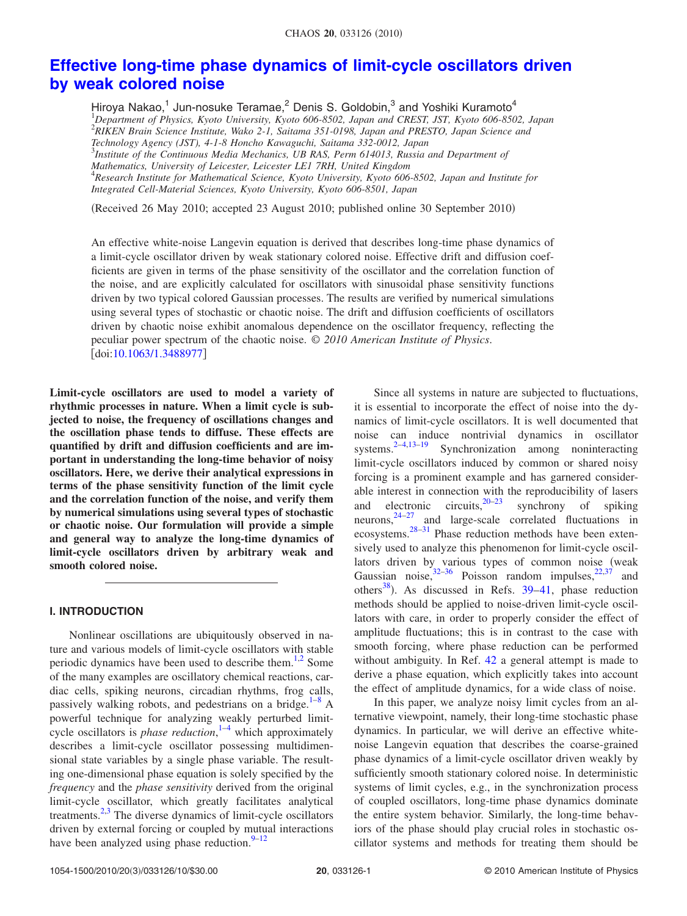# **[Effective long-time phase dynamics of limit-cycle oscillators driven](http://dx.doi.org/10.1063/1.3488977) [by weak colored noise](http://dx.doi.org/10.1063/1.3488977)**

Hiroya Nakao,<sup>1</sup> Jun-nosuke Teramae,<sup>2</sup> Denis S. Goldobin,<sup>3</sup> and Yoshiki Kuramoto<sup>4</sup> 1 *Department of Physics, Kyoto University, Kyoto 606-8502, Japan and CREST, JST, Kyoto 606-8502, Japan* 2 *RIKEN Brain Science Institute, Wako 2-1, Saitama 351-0198, Japan and PRESTO, Japan Science and Technology Agency (JST), 4-1-8 Honcho Kawaguchi, Saitama 332-0012, Japan* 3 *Institute of the Continuous Media Mechanics, UB RAS, Perm 614013, Russia and Department of Mathematics, University of Leicester, Leicester LE1 7RH, United Kingdom* 4 *Research Institute for Mathematical Science, Kyoto University, Kyoto 606-8502, Japan and Institute for Integrated Cell-Material Sciences, Kyoto University, Kyoto 606-8501, Japan*

(Received 26 May 2010; accepted 23 August 2010; published online 30 September 2010)

An effective white-noise Langevin equation is derived that describes long-time phase dynamics of a limit-cycle oscillator driven by weak stationary colored noise. Effective drift and diffusion coefficients are given in terms of the phase sensitivity of the oscillator and the correlation function of the noise, and are explicitly calculated for oscillators with sinusoidal phase sensitivity functions driven by two typical colored Gaussian processes. The results are verified by numerical simulations using several types of stochastic or chaotic noise. The drift and diffusion coefficients of oscillators driven by chaotic noise exhibit anomalous dependence on the oscillator frequency, reflecting the peculiar power spectrum of the chaotic noise. © *2010 American Institute of Physics*. doi[:10.1063/1.3488977](http://dx.doi.org/10.1063/1.3488977)

**Limit-cycle oscillators are used to model a variety of rhythmic processes in nature. When a limit cycle is subjected to noise, the frequency of oscillations changes and the oscillation phase tends to diffuse. These effects are quantified by drift and diffusion coefficients and are important in understanding the long-time behavior of noisy oscillators. Here, we derive their analytical expressions in terms of the phase sensitivity function of the limit cycle and the correlation function of the noise, and verify them by numerical simulations using several types of stochastic or chaotic noise. Our formulation will provide a simple and general way to analyze the long-time dynamics of limit-cycle oscillators driven by arbitrary weak and smooth colored noise.**

# **I. INTRODUCTION**

Nonlinear oscillations are ubiquitously observed in nature and various models of limit-cycle oscillators with stable periodic dynamics have been used to describe them.<sup>1[,2](#page-8-1)</sup> Some of the many examples are oscillatory chemical reactions, cardiac cells, spiking neurons, circadian rhythms, frog calls, passively walking robots, and pedestrians on a bridge. $1-8$  $1-8$  A powerful technique for analyzing weakly perturbed limitcycle oscillators is *phase reduction*, [1](#page-8-0)[–4](#page-8-2) which approximately describes a limit-cycle oscillator possessing multidimensional state variables by a single phase variable. The resulting one-dimensional phase equation is solely specified by the *frequency* and the *phase sensitivity* derived from the original limit-cycle oscillator, which greatly facilitates analytical treatments.<sup>2[,3](#page-8-3)</sup> The diverse dynamics of limit-cycle oscillators driven by external forcing or coupled by mutual interactions have been analyzed using phase reduction. $9-12$  $9-12$ 

Since all systems in nature are subjected to fluctuations, it is essential to incorporate the effect of noise into the dynamics of limit-cycle oscillators. It is well documented that noise can induce nontrivial dynamics in oscillator systems.<sup>2-[4](#page-8-2)[,13](#page-9-3)-19</sup> Synchronization among noninteracting limit-cycle oscillators induced by common or shared noisy forcing is a prominent example and has garnered considerable interest in connection with the reproducibility of lasers<br>and electronic circuits,  $20-23$  synchrony of spiking and electronic circuits,  $20-23$  $20-23$ neurons,  $24-27$  $24-27$  and large-scale correlated fluctuations in ecosystems.<sup>28[–31](#page-9-10)</sup> Phase reduction methods have been extensively used to analyze this phenomenon for limit-cycle oscillators driven by various types of common noise (weak Gaussian noise,  $32-36$  $32-36$  Poisson random impulses,  $22,37$  $22,37$  and others<sup>38</sup>). As discussed in Refs.  $39-41$ , phase reduction methods should be applied to noise-driven limit-cycle oscillators with care, in order to properly consider the effect of amplitude fluctuations; this is in contrast to the case with smooth forcing, where phase reduction can be performed without ambiguity. In Ref. [42](#page-9-18) a general attempt is made to derive a phase equation, which explicitly takes into account the effect of amplitude dynamics, for a wide class of noise.

In this paper, we analyze noisy limit cycles from an alternative viewpoint, namely, their long-time stochastic phase dynamics. In particular, we will derive an effective whitenoise Langevin equation that describes the coarse-grained phase dynamics of a limit-cycle oscillator driven weakly by sufficiently smooth stationary colored noise. In deterministic systems of limit cycles, e.g., in the synchronization process of coupled oscillators, long-time phase dynamics dominate the entire system behavior. Similarly, the long-time behaviors of the phase should play crucial roles in stochastic oscillator systems and methods for treating them should be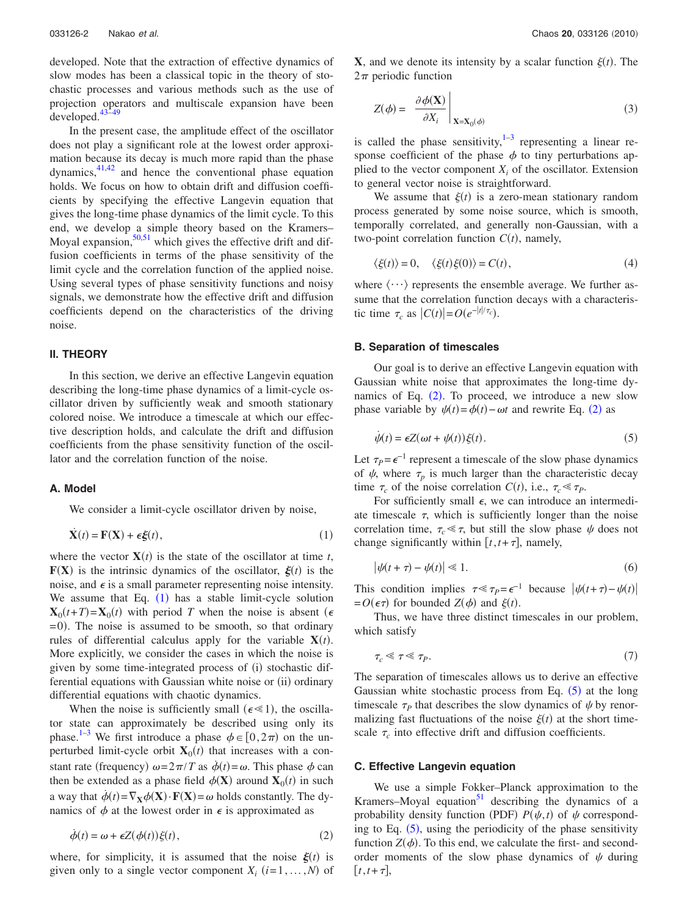developed. Note that the extraction of effective dynamics of slow modes has been a classical topic in the theory of stochastic processes and various methods such as the use of projection operators and multiscale expansion have been developed[.43](#page-9-19)[–49](#page-9-20)

In the present case, the amplitude effect of the oscillator does not play a significant role at the lowest order approximation because its decay is much more rapid than the phase dynamics, $41,42$  $41,42$  and hence the conventional phase equation holds. We focus on how to obtain drift and diffusion coefficients by specifying the effective Langevin equation that gives the long-time phase dynamics of the limit cycle. To this end, we develop a simple theory based on the Kramers– Moyal expansion,  $50,51$  $50,51$  which gives the effective drift and diffusion coefficients in terms of the phase sensitivity of the limit cycle and the correlation function of the applied noise. Using several types of phase sensitivity functions and noisy signals, we demonstrate how the effective drift and diffusion coefficients depend on the characteristics of the driving noise.

## **II. THEORY**

In this section, we derive an effective Langevin equation describing the long-time phase dynamics of a limit-cycle oscillator driven by sufficiently weak and smooth stationary colored noise. We introduce a timescale at which our effective description holds, and calculate the drift and diffusion coefficients from the phase sensitivity function of the oscillator and the correlation function of the noise.

## **A. Model**

We consider a limit-cycle oscillator driven by noise,

<span id="page-1-0"></span>
$$
\dot{\mathbf{X}}(t) = \mathbf{F}(\mathbf{X}) + \epsilon \xi(t),\tag{1}
$$

where the vector  $X(t)$  is the state of the oscillator at time *t*,  $F(X)$  is the intrinsic dynamics of the oscillator,  $\xi(t)$  is the noise, and  $\epsilon$  is a small parameter representing noise intensity. We assume that Eq.  $(1)$  $(1)$  $(1)$  has a stable limit-cycle solution  $\mathbf{X}_0(t+T) = \mathbf{X}_0(t)$  with period *T* when the noise is absent ( $\epsilon$  $= 0$ ). The noise is assumed to be smooth, so that ordinary rules of differential calculus apply for the variable  $X(t)$ . More explicitly, we consider the cases in which the noise is given by some time-integrated process of (i) stochastic differential equations with Gaussian white noise or (ii) ordinary differential equations with chaotic dynamics.

When the noise is sufficiently small ( $\epsilon \ll 1$ ), the oscillator state can approximately be described using only its phase.<sup>1-[3](#page-8-3)</sup> We first introduce a phase  $\phi \in [0, 2\pi)$  on the unperturbed limit-cycle orbit  $X_0(t)$  that increases with a constant rate (frequency)  $\omega = 2\pi/T$  as  $\dot{\phi}(t) = \omega$ . This phase  $\phi$  can then be extended as a phase field  $\phi(\mathbf{X})$  around  $\mathbf{X}_0(t)$  in such a way that  $\dot{\phi}(t) = \nabla_{\mathbf{X}} \phi(\mathbf{X}) \cdot \mathbf{F}(\mathbf{X}) = \omega$  holds constantly. The dynamics of  $\phi$  at the lowest order in  $\epsilon$  is approximated as

<span id="page-1-1"></span>
$$
\dot{\phi}(t) = \omega + \epsilon Z(\phi(t))\xi(t),\tag{2}
$$

where, for simplicity, it is assumed that the noise  $\xi(t)$  is given only to a single vector component  $X_i$  ( $i=1,...,N$ ) of

**X**, and we denote its intensity by a scalar function  $\xi(t)$ . The  $2\pi$  periodic function

$$
Z(\phi) = \left. \frac{\partial \phi(\mathbf{X})}{\partial X_i} \right|_{\mathbf{X} = \mathbf{X}_0(\phi)}
$$
(3)

is called the phase sensitivity, $1-3$  $1-3$  representing a linear response coefficient of the phase  $\phi$  to tiny perturbations applied to the vector component  $X_i$  of the oscillator. Extension to general vector noise is straightforward.

We assume that  $\xi(t)$  is a zero-mean stationary random process generated by some noise source, which is smooth, temporally correlated, and generally non-Gaussian, with a two-point correlation function  $C(t)$ , namely,

$$
\langle \xi(t) \rangle = 0, \quad \langle \xi(t) \xi(0) \rangle = C(t), \tag{4}
$$

where  $\langle \cdots \rangle$  represents the ensemble average. We further assume that the correlation function decays with a characteristic time  $\tau_c$  as  $|C(t)| = O(e^{-|t|/\tau_c})$ .

## **B. Separation of timescales**

Our goal is to derive an effective Langevin equation with Gaussian white noise that approximates the long-time dynamics of Eq.  $(2)$  $(2)$  $(2)$ . To proceed, we introduce a new slow phase variable by  $\psi(t) = \phi(t) - \omega t$  and rewrite Eq. ([2](#page-1-1)) as

<span id="page-1-2"></span>
$$
\dot{\psi}(t) = \epsilon Z(\omega t + \psi(t))\xi(t). \tag{5}
$$

Let  $\tau_P = \epsilon^{-1}$  represent a timescale of the slow phase dynamics of  $\psi$ , where  $\tau_p$  is much larger than the characteristic decay time  $\tau_c$  of the noise correlation  $C(t)$ , i.e.,  $\tau_c \ll \tau_P$ .

For sufficiently small  $\epsilon$ , we can introduce an intermediate timescale  $\tau$ , which is sufficiently longer than the noise correlation time,  $\tau_c \ll \tau$ , but still the slow phase  $\psi$  does not change significantly within  $[t, t + \tau]$ , namely,

$$
\left|\psi(t+\tau)-\psi(t)\right|\ll 1.\tag{6}
$$

This condition implies  $\tau \ll \tau_p = \epsilon^{-1}$  because  $|\psi(t+\tau) - \psi(t)|$  $= O(\epsilon \tau)$  for bounded  $Z(\phi)$  and  $\xi(t)$ .

Thus, we have three distinct timescales in our problem, which satisfy

$$
\tau_c \ll \tau \ll \tau_P. \tag{7}
$$

The separation of timescales allows us to derive an effective Gaussian white stochastic process from Eq.  $(5)$  $(5)$  $(5)$  at the long timescale  $\tau_p$  that describes the slow dynamics of  $\psi$  by renormalizing fast fluctuations of the noise  $\xi(t)$  at the short timescale  $\tau_c$  into effective drift and diffusion coefficients.

## **C. Effective Langevin equation**

We use a simple Fokker–Planck approximation to the Kramers–Moyal equation $51$  describing the dynamics of a probability density function (PDF)  $P(\psi, t)$  of  $\psi$  corresponding to Eq.  $(5)$  $(5)$  $(5)$ , using the periodicity of the phase sensitivity function  $Z(\phi)$ . To this end, we calculate the first- and secondorder moments of the slow phase dynamics of  $\psi$  during  $[t, t+\tau],$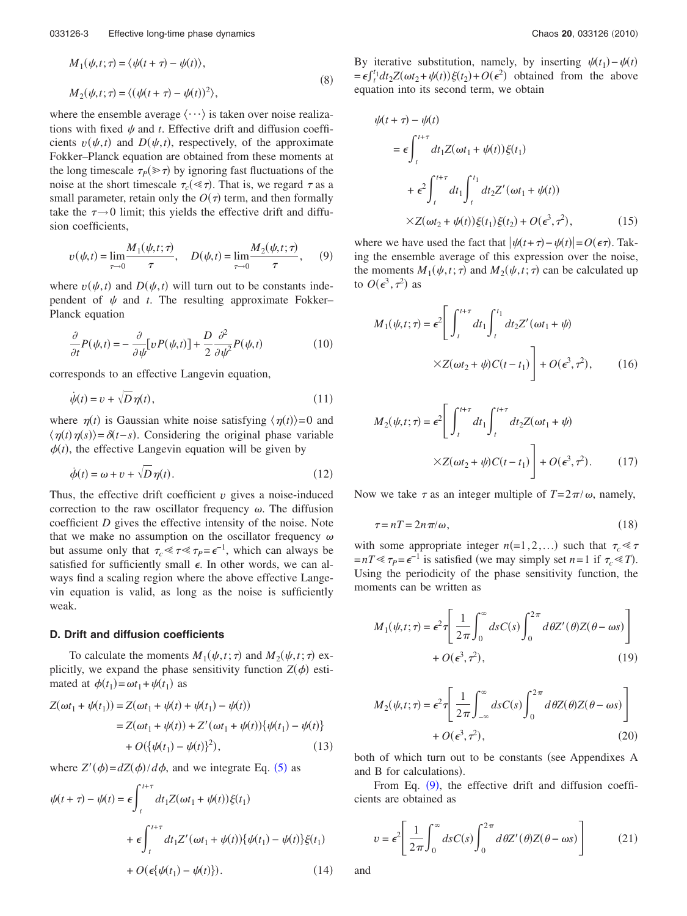$$
M_1(\psi, t; \tau) = \langle \psi(t + \tau) - \psi(t) \rangle,
$$
  

$$
M_2(\psi, t; \tau) = \langle (\psi(t + \tau) - \psi(t))^2 \rangle,
$$
 (8)

where the ensemble average  $\langle \cdots \rangle$  is taken over noise realizations with fixed  $\psi$  and  $t$ . Effective drift and diffusion coefficients  $v(\psi, t)$  and  $D(\psi, t)$ , respectively, of the approximate Fokker–Planck equation are obtained from these moments at the long timescale  $\tau_P(\gg \tau)$  by ignoring fast fluctuations of the noise at the short timescale  $\tau_c(\ll \tau)$ . That is, we regard  $\tau$  as a small parameter, retain only the  $O(\tau)$  term, and then formally take the  $\tau \rightarrow 0$  limit; this yields the effective drift and diffusion coefficients,

<span id="page-2-0"></span>
$$
v(\psi, t) = \lim_{\tau \to 0} \frac{M_1(\psi, t; \tau)}{\tau}, \quad D(\psi, t) = \lim_{\tau \to 0} \frac{M_2(\psi, t; \tau)}{\tau}, \quad (9)
$$

where  $v(\psi, t)$  and  $D(\psi, t)$  will turn out to be constants independent of  $\psi$  and *t*. The resulting approximate Fokker– Planck equation

<span id="page-2-3"></span>
$$
\frac{\partial}{\partial t}P(\psi,t) = -\frac{\partial}{\partial \psi}[vP(\psi,t)] + \frac{D}{2}\frac{\partial^2}{\partial \psi^2}P(\psi,t)
$$
(10)

<span id="page-2-2"></span>corresponds to an effective Langevin equation,

$$
\dot{\psi}(t) = v + \sqrt{D} \eta(t),\tag{11}
$$

where  $\eta(t)$  is Gaussian white noise satisfying  $\langle \eta(t) \rangle = 0$  and  $\langle \eta(t) \eta(s) \rangle = \delta(t-s)$ . Considering the original phase variable  $\phi(t)$ , the effective Langevin equation will be given by

$$
\dot{\phi}(t) = \omega + v + \sqrt{D}\,\eta(t). \tag{12}
$$

Thus, the effective drift coefficient  $v$  gives a noise-induced correction to the raw oscillator frequency  $\omega$ . The diffusion coefficient *D* gives the effective intensity of the noise. Note that we make no assumption on the oscillator frequency  $\omega$ but assume only that  $\tau_c \ll \tau \ll \tau_P = \epsilon^{-1}$ , which can always be satisfied for sufficiently small  $\epsilon$ . In other words, we can always find a scaling region where the above effective Langevin equation is valid, as long as the noise is sufficiently weak.

## **D. Drift and diffusion coefficients**

To calculate the moments  $M_1(\psi, t; \tau)$  and  $M_2(\psi, t; \tau)$  explicitly, we expand the phase sensitivity function  $Z(\phi)$  estimated at  $\phi(t_1) = \omega t_1 + \psi(t_1)$  as

$$
Z(\omega t_1 + \psi(t_1)) = Z(\omega t_1 + \psi(t) + \psi(t_1) - \psi(t))
$$
  
= Z(\omega t\_1 + \psi(t)) + Z'(\omega t\_1 + \psi(t))\{\psi(t\_1) - \psi(t)\}  
+ O(\{\psi(t\_1) - \psi(t)\}^2), \t(13)

where  $Z'(\phi) = dZ(\phi)/d\phi$ , and we integrate Eq. ([5](#page-1-2)) as

$$
\psi(t+\tau) - \psi(t) = \epsilon \int_{t}^{t+\tau} dt_1 Z(\omega t_1 + \psi(t)) \xi(t_1)
$$

$$
+ \epsilon \int_{t}^{t+\tau} dt_1 Z'(\omega t_1 + \psi(t)) \{\psi(t_1) - \psi(t)\} \xi(t_1)
$$

$$
+ O(\epsilon \{\psi(t_1) - \psi(t)\}). \tag{14}
$$

By iterative substitution, namely, by inserting  $\psi(t_1) - \psi(t)$  $=\epsilon \int_t^t_1 dt_2 Z(\omega t_2 + \psi(t)) \xi(t_2) + O(\epsilon^2)$  obtained from the above equation into its second term, we obtain

$$
\psi(t+\tau) - \psi(t)
$$
\n
$$
= \epsilon \int_{t}^{t+\tau} dt_1 Z(\omega t_1 + \psi(t)) \xi(t_1)
$$
\n
$$
+ \epsilon^2 \int_{t}^{t+\tau} dt_1 \int_{t}^{t_1} dt_2 Z'(\omega t_1 + \psi(t))
$$
\n
$$
\times Z(\omega t_2 + \psi(t)) \xi(t_1) \xi(t_2) + O(\epsilon^3, \tau^2), \qquad (15)
$$

where we have used the fact that  $|\psi(t+\tau) - \psi(t)| = O(\epsilon \tau)$ . Taking the ensemble average of this expression over the noise, the moments  $M_1(\psi, t; \tau)$  and  $M_2(\psi, t; \tau)$  can be calculated up to  $O(\epsilon^3, \tau^2)$  as

<span id="page-2-5"></span>
$$
M_1(\psi, t; \tau) = \epsilon^2 \left[ \int_t^{t+\tau} dt_1 \int_t^{t_1} dt_2 Z'(\omega t_1 + \psi) \times Z(\omega t_2 + \psi) C(t - t_1) \right] + O(\epsilon^3, \tau^2), \qquad (16)
$$

<span id="page-2-7"></span>
$$
M_2(\psi, t; \tau) = \epsilon^2 \left[ \int_t^{t+\tau} dt_1 \int_t^{t+\tau} dt_2 Z(\omega t_1 + \psi) \times Z(\omega t_2 + \psi) C(t - t_1) \right] + O(\epsilon^3, \tau^2).
$$
 (17)

Now we take  $\tau$  as an integer multiple of  $T = 2\pi/\omega$ , namely,

$$
\tau = nT = 2n\pi/\omega,\tag{18}
$$

with some appropriate integer  $n(=1,2,...)$  such that  $\tau_c \ll \tau$  $=nT \ll \tau_P = \epsilon^{-1}$  is satisfied (we may simply set *n*=1 if  $\tau_c \ll T$ ). Using the periodicity of the phase sensitivity function, the moments can be written as

<span id="page-2-4"></span>
$$
M_1(\psi, t; \tau) = \epsilon^2 \tau \left[ \frac{1}{2\pi} \int_0^\infty ds C(s) \int_0^{2\pi} d\theta Z'(\theta) Z(\theta - \omega s) \right] + O(\epsilon^3, \tau^2), \tag{19}
$$

<span id="page-2-6"></span>
$$
M_2(\psi, t; \tau) = \epsilon^2 \tau \left[ \frac{1}{2\pi} \int_{-\infty}^{\infty} ds C(s) \int_{0}^{2\pi} d\theta Z(\theta) Z(\theta - \omega s) \right] + O(\epsilon^3, \tau^2), \tag{20}
$$

both of which turn out to be constants (see Appendixes A and B for calculations).

From Eq.  $(9)$  $(9)$  $(9)$ , the effective drift and diffusion coefficients are obtained as

<span id="page-2-1"></span>
$$
v = \epsilon^2 \left[ \frac{1}{2\pi} \int_0^\infty ds C(s) \int_0^{2\pi} d\theta Z'(\theta) Z(\theta - \omega s) \right]
$$
 (21)

and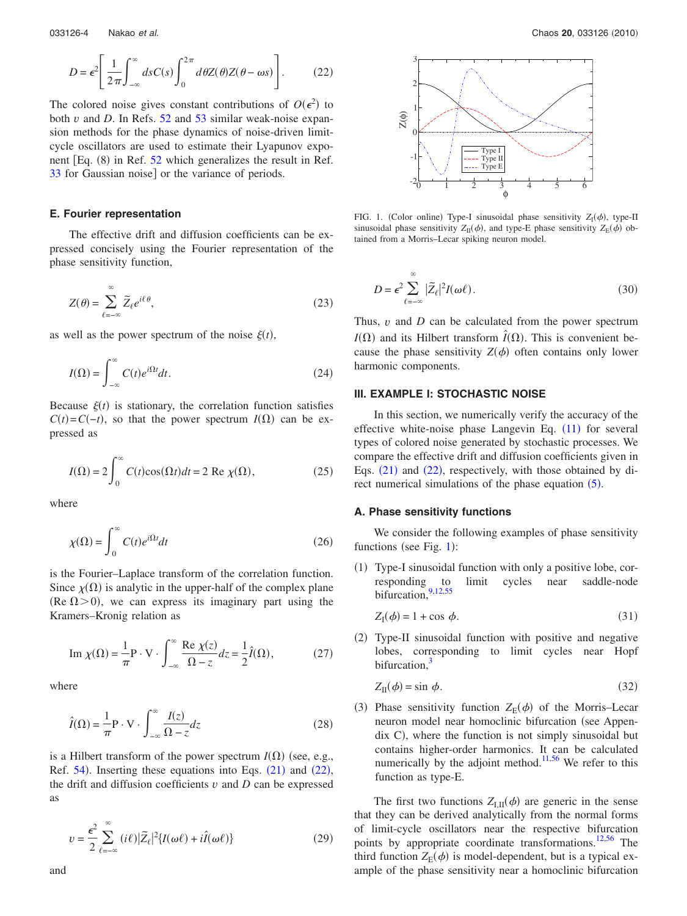<span id="page-3-0"></span>
$$
D = \epsilon^2 \left[ \frac{1}{2\pi} \int_{-\infty}^{\infty} ds C(s) \int_{0}^{2\pi} d\theta Z(\theta) Z(\theta - \omega s) \right].
$$
 (22)

The colored noise gives constant contributions of  $O(\epsilon^2)$  to both *v* and *D*. In Refs. [52](#page-9-23) and [53](#page-9-24) similar weak-noise expansion methods for the phase dynamics of noise-driven limitcycle oscillators are used to estimate their Lyapunov exponent  $[Eq. (8)$  in Ref. [52](#page-9-23) which generalizes the result in Ref. [33](#page-9-25) for Gaussian noise] or the variance of periods.

## **E. Fourier representation**

The effective drift and diffusion coefficients can be expressed concisely using the Fourier representation of the phase sensitivity function,

$$
Z(\theta) = \sum_{\ell = -\infty}^{\infty} \widetilde{Z}_{\ell} e^{i\ell\theta},\tag{23}
$$

as well as the power spectrum of the noise  $\xi(t)$ ,

$$
I(\Omega) = \int_{-\infty}^{\infty} C(t)e^{i\Omega t} dt.
$$
 (24)

Because  $\xi(t)$  is stationary, the correlation function satisfies  $C(t) = C(-t)$ , so that the power spectrum *I*( $\Omega$ ) can be expressed as

$$
I(\Omega) = 2 \int_0^\infty C(t) \cos(\Omega t) dt = 2 \text{ Re } \chi(\Omega), \qquad (25)
$$

where

$$
\chi(\Omega) = \int_0^\infty C(t)e^{i\Omega t}dt
$$
\n(26)

is the Fourier–Laplace transform of the correlation function. Since  $\chi(\Omega)$  is analytic in the upper-half of the complex plane (Re  $\Omega$  > 0), we can express its imaginary part using the Kramers–Kronig relation as

Im 
$$
\chi(\Omega) = \frac{1}{\pi} P \cdot V \cdot \int_{-\infty}^{\infty} \frac{\text{Re } \chi(z)}{\Omega - z} dz = \frac{1}{2} \hat{I}(\Omega),
$$
 (27)

where

$$
\hat{I}(\Omega) = \frac{1}{\pi} \mathbf{P} \cdot \mathbf{V} \cdot \int_{-\infty}^{\infty} \frac{I(z)}{\Omega - z} dz
$$
\n(28)

is a Hilbert transform of the power spectrum  $I(\Omega)$  (see, e.g., Ref.  $54$ ). Inserting these equations into Eqs.  $(21)$  $(21)$  $(21)$  and  $(22)$  $(22)$  $(22)$ , the drift and diffusion coefficients *v* and *D* can be expressed as

<span id="page-3-3"></span>
$$
v = \frac{\epsilon^2}{2} \sum_{\ell=-\infty}^{\infty} (i\ell) |\tilde{Z}_{\ell}|^2 \{ I(\omega\ell) + i\hat{I}(\omega\ell) \}
$$
 (29)

<span id="page-3-1"></span>

FIG. 1. (Color online) Type-I sinusoidal phase sensitivity  $Z_1(\phi)$ , type-II sinusoidal phase sensitivity  $Z_{\text{II}}(\phi)$ , and type-E phase sensitivity  $Z_{\text{E}}(\phi)$  obtained from a Morris–Lecar spiking neuron model.

<span id="page-3-2"></span>
$$
D = \epsilon^2 \sum_{\ell=-\infty}^{\infty} |\tilde{Z}_{\ell}|^2 I(\omega \ell).
$$
 (30)

Thus, *v* and *D* can be calculated from the power spectrum  $I(\Omega)$  and its Hilbert transform  $\hat{I}(\Omega)$ . This is convenient because the phase sensitivity  $Z(\phi)$  often contains only lower harmonic components.

## **III. EXAMPLE I: STOCHASTIC NOISE**

In this section, we numerically verify the accuracy of the effective white-noise phase Langevin Eq.  $(11)$  $(11)$  $(11)$  for several types of colored noise generated by stochastic processes. We compare the effective drift and diffusion coefficients given in Eqs.  $(21)$  $(21)$  $(21)$  and  $(22)$  $(22)$  $(22)$ , respectively, with those obtained by direct numerical simulations of the phase equation  $(5)$  $(5)$  $(5)$ .

## **A. Phase sensitivity functions**

We consider the following examples of phase sensitivity functions (see Fig.  $1$ ):

(1) Type-I sinusoidal function with only a positive lobe, corresponding to limit cycles near saddle-node bifurcation, $9,12,55$  $9,12,55$  $9,12,55$ 

$$
Z_{\rm I}(\phi) = 1 + \cos \phi. \tag{31}
$$

(2) Type-II sinusoidal function with positive and negative lobes, corresponding to limit cycles near Hopf bifurcation,<sup>3</sup>

$$
Z_{\rm II}(\phi) = \sin \phi. \tag{32}
$$

(3) Phase sensitivity function  $Z_{\rm E}(\phi)$  of the Morris–Lecar neuron model near homoclinic bifurcation (see Appen $d$ ix  $C$ ), where the function is not simply sinusoidal but contains higher-order harmonics. It can be calculated numerically by the adjoint method.<sup>11,[56](#page-9-29)</sup> We refer to this function as type-E.

The first two functions  $Z_{I,II}(\phi)$  are generic in the sense that they can be derived analytically from the normal forms of limit-cycle oscillators near the respective bifurcation points by appropriate coordinate transformations.<sup>12[,56](#page-9-29)</sup> The third function  $Z_{E}(\phi)$  is model-dependent, but is a typical example of the phase sensitivity near a homoclinic bifurcation

and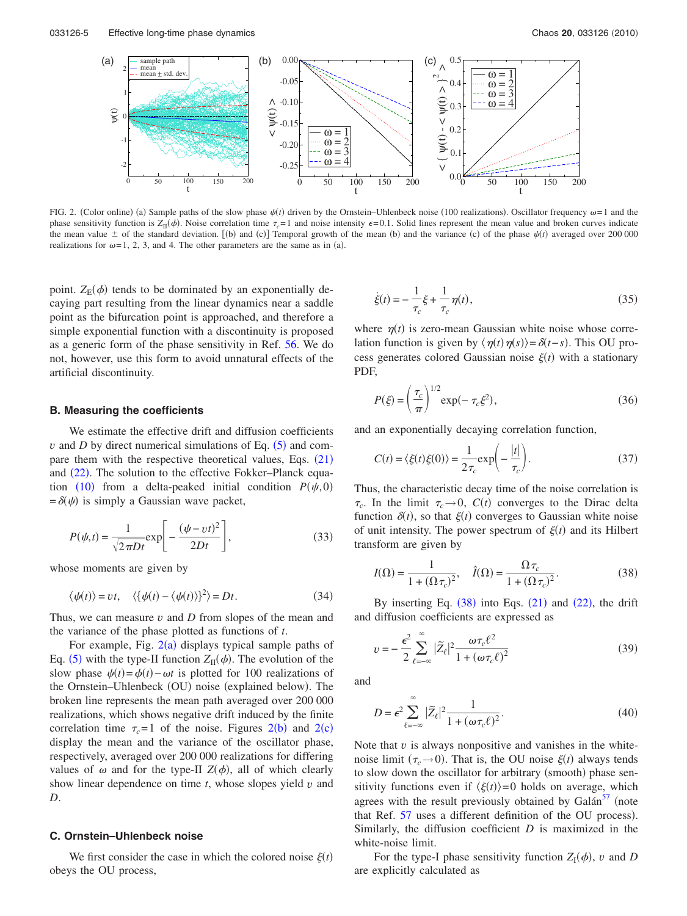<span id="page-4-0"></span>

FIG. 2. (Color online) (a) Sample paths of the slow phase  $\psi(t)$  driven by the Ornstein–Uhlenbeck noise (100 realizations). Oscillator frequency  $\omega = 1$  and the phase sensitivity function is  $Z_{II}(\phi)$ . Noise correlation time  $\tau_c = 1$  and noise intensity  $\epsilon = 0.1$ . Solid lines represent the mean value and broken curves indicate the mean value  $\pm$  of the standard deviation. [(b) and (c)] Temporal growth of the mean (b) and the variance (c) of the phase  $\psi(t)$  averaged over 200 000 realizations for  $\omega = 1, 2, 3$ , and 4. The other parameters are the same as in (a).

point.  $Z_{E}(\phi)$  tends to be dominated by an exponentially decaying part resulting from the linear dynamics near a saddle point as the bifurcation point is approached, and therefore a simple exponential function with a discontinuity is proposed as a generic form of the phase sensitivity in Ref. [56.](#page-9-29) We do not, however, use this form to avoid unnatural effects of the artificial discontinuity.

## **B. Measuring the coefficients**

We estimate the effective drift and diffusion coefficients  $\nu$  and  $D$  by direct numerical simulations of Eq.  $(5)$  $(5)$  $(5)$  and compare them with the respective theoretical values, Eqs.  $(21)$  $(21)$  $(21)$ and ([22](#page-3-0)). The solution to the effective Fokker–Planck equa-tion ([10](#page-2-3)) from a delta-peaked initial condition  $P(\psi, 0)$  $= \delta(\psi)$  is simply a Gaussian wave packet,

$$
P(\psi, t) = \frac{1}{\sqrt{2\pi Dt}} \exp\left[-\frac{(\psi - vt)^2}{2Dt}\right],
$$
\n(33)

whose moments are given by

$$
\langle \psi(t) \rangle = vt, \quad \langle {\psi(t) - \langle \psi(t) \rangle}^2 \rangle = Dt.
$$
 (34)

Thus, we can measure *v* and *D* from slopes of the mean and the variance of the phase plotted as functions of *t*.

For example, Fig.  $2(a)$  $2(a)$  displays typical sample paths of Eq. ([5](#page-1-2)) with the type-II function  $Z_{II}(\phi)$ . The evolution of the slow phase  $\psi(t) = \phi(t) - \omega t$  is plotted for 100 realizations of the Ornstein-Uhlenbeck (OU) noise (explained below). The broken line represents the mean path averaged over 200 000 realizations, which shows negative drift induced by the finite correlation time  $\tau_c = 1$  of the noise. Figures [2](#page-4-0)(b) and 2(c) display the mean and the variance of the oscillator phase, respectively, averaged over 200 000 realizations for differing values of  $\omega$  and for the type-II  $Z(\phi)$ , all of which clearly show linear dependence on time *t*, whose slopes yield *v* and *D*.

## **C. Ornstein–Uhlenbeck noise**

We first consider the case in which the colored noise  $\xi(t)$ obeys the OU process,

$$
\dot{\xi}(t) = -\frac{1}{\tau_c} \xi + \frac{1}{\tau_c} \eta(t),
$$
\n(35)

where  $\eta(t)$  is zero-mean Gaussian white noise whose correlation function is given by  $\langle \eta(t) \eta(s) \rangle = \delta(t-s)$ . This OU process generates colored Gaussian noise  $\xi(t)$  with a stationary PDF,

$$
P(\xi) = \left(\frac{\tau_c}{\pi}\right)^{1/2} \exp(-\tau_c \xi^2),\tag{36}
$$

and an exponentially decaying correlation function,

$$
C(t) = \langle \xi(t)\xi(0)\rangle = \frac{1}{2\tau_c} \exp\left(-\frac{|t|}{\tau_c}\right). \tag{37}
$$

Thus, the characteristic decay time of the noise correlation is  $\tau_c$ . In the limit  $\tau_c \rightarrow 0$ ,  $C(t)$  converges to the Dirac delta function  $\delta(t)$ , so that  $\xi(t)$  converges to Gaussian white noise of unit intensity. The power spectrum of  $\xi(t)$  and its Hilbert transform are given by

<span id="page-4-1"></span>
$$
I(\Omega) = \frac{1}{1 + (\Omega \tau_c)^2}, \quad \hat{I}(\Omega) = \frac{\Omega \tau_c}{1 + (\Omega \tau_c)^2}.
$$
 (38)

By inserting Eq.  $(38)$  $(38)$  $(38)$  into Eqs.  $(21)$  $(21)$  $(21)$  and  $(22)$  $(22)$  $(22)$ , the drift and diffusion coefficients are expressed as

$$
v = -\frac{\epsilon^2}{2} \sum_{\ell=-\infty}^{\infty} |\tilde{Z}_{\ell}|^2 \frac{\omega \tau_c \ell^2}{1 + (\omega \tau_c \ell)^2}
$$
(39)

and

$$
D = \epsilon^2 \sum_{\ell=-\infty}^{\infty} |\tilde{Z}_{\ell}|^2 \frac{1}{1 + (\omega \tau_c \ell)^2}.
$$
 (40)

Note that *v* is always nonpositive and vanishes in the whitenoise limit  $(\tau_c \rightarrow 0)$ . That is, the OU noise  $\xi(t)$  always tends to slow down the oscillator for arbitrary (smooth) phase sensitivity functions even if  $\langle \xi(t) \rangle = 0$  holds on average, which agrees with the result previously obtained by Galán<sup>57</sup> (note that Ref. [57](#page-9-30) uses a different definition of the OU process. Similarly, the diffusion coefficient *D* is maximized in the white-noise limit.

For the type-I phase sensitivity function  $Z_I(\phi)$ , *v* and *D* are explicitly calculated as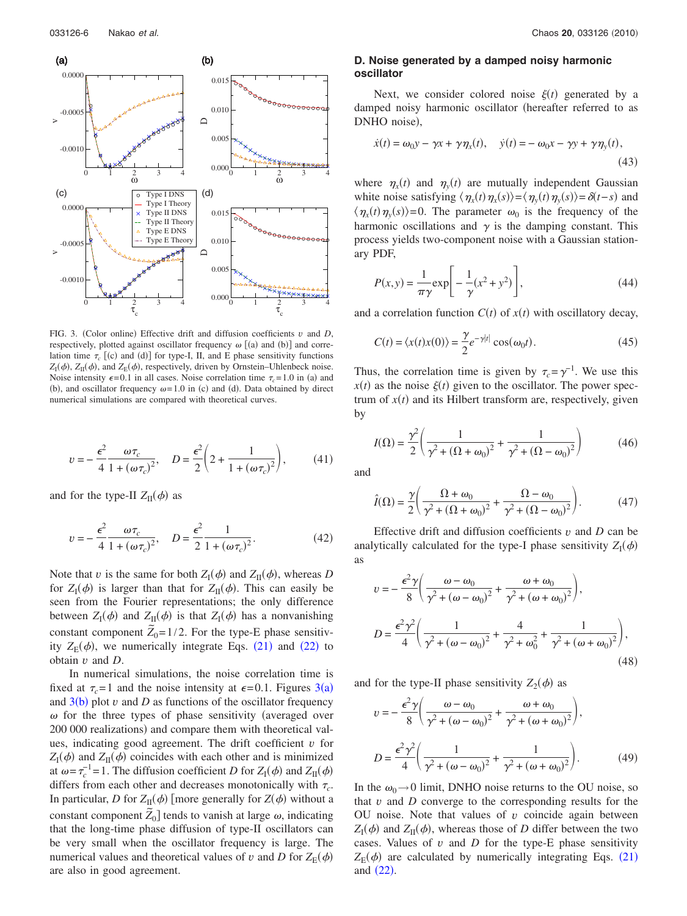<span id="page-5-0"></span>

FIG. 3. (Color online) Effective drift and diffusion coefficients  $v$  and  $D$ , respectively, plotted against oscillator frequency  $\omega$  [(a) and (b)] and correlation time  $\tau_c$  [(c) and (d)] for type-I, II, and E phase sensitivity functions  $Z_{\rm I}(\phi)$ ,  $Z_{\rm II}(\phi)$ , and  $Z_{\rm E}(\phi)$ , respectively, driven by Ornstein–Uhlenbeck noise. Noise intensity  $\epsilon = 0.1$  in all cases. Noise correlation time  $\tau_c = 1.0$  in (a) and (b), and oscillator frequency  $\omega = 1.0$  in (c) and (d). Data obtained by direct numerical simulations are compared with theoretical curves.

$$
v = -\frac{\epsilon^2}{4} \frac{\omega \tau_c}{1 + (\omega \tau_c)^2}, \quad D = \frac{\epsilon^2}{2} \left( 2 + \frac{1}{1 + (\omega \tau_c)^2} \right), \quad (41)
$$

and for the type-II  $Z_{II}(\phi)$  as

$$
v = -\frac{\epsilon^2}{4} \frac{\omega \tau_c}{1 + (\omega \tau_c)^2}, \quad D = \frac{\epsilon^2}{2} \frac{1}{1 + (\omega \tau_c)^2}.
$$
 (42)

Note that *v* is the same for both  $Z_{\rm I}(\phi)$  and  $Z_{\rm II}(\phi)$ , whereas *D* for  $Z_{\rm I}(\phi)$  is larger than that for  $Z_{\rm II}(\phi)$ . This can easily be seen from the Fourier representations; the only difference between  $Z_{\rm I}(\phi)$  and  $Z_{\rm II}(\phi)$  is that  $Z_{\rm I}(\phi)$  has a nonvanishing constant component  $\tilde{Z}_0 = 1/2$ . For the type-E phase sensitivity  $Z_{\rm E}(\phi)$ , we numerically integrate Eqs. ([21](#page-2-1)) and ([22](#page-3-0)) to obtain *v* and *D*.

In numerical simulations, the noise correlation time is fixed at  $\tau_c = 1$  and the noise intensity at  $\epsilon = 0.1$ . Figures [3](#page-5-0)(a) and  $3(b)$  $3(b)$  plot  $v$  and  $D$  as functions of the oscillator frequency  $\omega$  for the three types of phase sensitivity (averaged over 200 000 realizations) and compare them with theoretical values, indicating good agreement. The drift coefficient *v* for  $Z_{\rm I}(\phi)$  and  $Z_{\rm II}(\phi)$  coincides with each other and is minimized at  $\omega = \tau_c^{-1} = 1$ . The diffusion coefficient *D* for  $Z_I(\phi)$  and  $Z_{II}(\phi)$ differs from each other and decreases monotonically with  $\tau_c$ . In particular, *D* for  $Z_{II}(\phi)$  [more generally for  $Z(\phi)$  without a constant component  $\tilde{Z}_0$ ] tends to vanish at large  $\omega$ , indicating that the long-time phase diffusion of type-II oscillators can be very small when the oscillator frequency is large. The numerical values and theoretical values of *v* and *D* for  $Z_E(\phi)$ are also in good agreement.

# **D. Noise generated by a damped noisy harmonic oscillator**

Next, we consider colored noise  $\xi(t)$  generated by a damped noisy harmonic oscillator (hereafter referred to as DNHO noise),

$$
\dot{x}(t) = \omega_0 y - \gamma x + \gamma \eta_x(t), \quad \dot{y}(t) = -\omega_0 x - \gamma y + \gamma \eta_y(t),
$$
\n(43)

where  $\eta_x(t)$  and  $\eta_y(t)$  are mutually independent Gaussian white noise satisfying  $\langle \eta_x(t) \eta_x(s) \rangle = \langle \eta_y(t) \eta_y(s) \rangle = \delta(t-s)$  and  $\langle \eta_x(t) \eta_y(s) \rangle = 0$ . The parameter  $\omega_0$  is the frequency of the harmonic oscillations and  $\gamma$  is the damping constant. This process yields two-component noise with a Gaussian stationary PDF,

$$
P(x, y) = \frac{1}{\pi \gamma} \exp\left[-\frac{1}{\gamma} (x^2 + y^2)\right],
$$
\n(44)

and a correlation function  $C(t)$  of  $x(t)$  with oscillatory decay,

$$
C(t) = \langle x(t)x(0) \rangle = \frac{\gamma}{2} e^{-\gamma |t|} \cos(\omega_0 t). \tag{45}
$$

Thus, the correlation time is given by  $\tau_c = \gamma^{-1}$ . We use this  $x(t)$  as the noise  $\xi(t)$  given to the oscillator. The power spectrum of  $x(t)$  and its Hilbert transform are, respectively, given by

$$
I(\Omega) = \frac{\gamma^2}{2} \left( \frac{1}{\gamma^2 + (\Omega + \omega_0)^2} + \frac{1}{\gamma^2 + (\Omega - \omega_0)^2} \right)
$$
(46)

and

$$
\hat{I}(\Omega) = \frac{\gamma}{2} \left( \frac{\Omega + \omega_0}{\gamma^2 + (\Omega + \omega_0)^2} + \frac{\Omega - \omega_0}{\gamma^2 + (\Omega - \omega_0)^2} \right). \tag{47}
$$

Effective drift and diffusion coefficients  $v$  and  $D$  can be analytically calculated for the type-I phase sensitivity  $Z_I(\phi)$ as

$$
v = -\frac{\epsilon^2 \gamma}{8} \left( \frac{\omega - \omega_0}{\gamma^2 + (\omega - \omega_0)^2} + \frac{\omega + \omega_0}{\gamma^2 + (\omega + \omega_0)^2} \right),
$$
  

$$
D = \frac{\epsilon^2 \gamma^2}{4} \left( \frac{1}{\gamma^2 + (\omega - \omega_0)^2} + \frac{4}{\gamma^2 + \omega_0^2} + \frac{1}{\gamma^2 + (\omega + \omega_0)^2} \right),
$$
(48)

and for the type-II phase sensitivity  $Z_2(\phi)$  as

$$
v = -\frac{\epsilon^2 \gamma}{8} \left( \frac{\omega - \omega_0}{\gamma^2 + (\omega - \omega_0)^2} + \frac{\omega + \omega_0}{\gamma^2 + (\omega + \omega_0)^2} \right),
$$
  

$$
D = \frac{\epsilon^2 \gamma^2}{4} \left( \frac{1}{\gamma^2 + (\omega - \omega_0)^2} + \frac{1}{\gamma^2 + (\omega + \omega_0)^2} \right).
$$
 (49)

In the  $\omega_0 \rightarrow 0$  limit, DNHO noise returns to the OU noise, so that *v* and *D* converge to the corresponding results for the OU noise. Note that values of *v* coincide again between  $Z_{\rm I}(\phi)$  and  $Z_{\rm II}(\phi)$ , whereas those of *D* differ between the two cases. Values of *v* and *D* for the type-E phase sensitivity  $Z_{\rm E}(\phi)$  are calculated by numerically integrating Eqs. ([21](#page-2-1)) and  $(22)$  $(22)$  $(22)$ .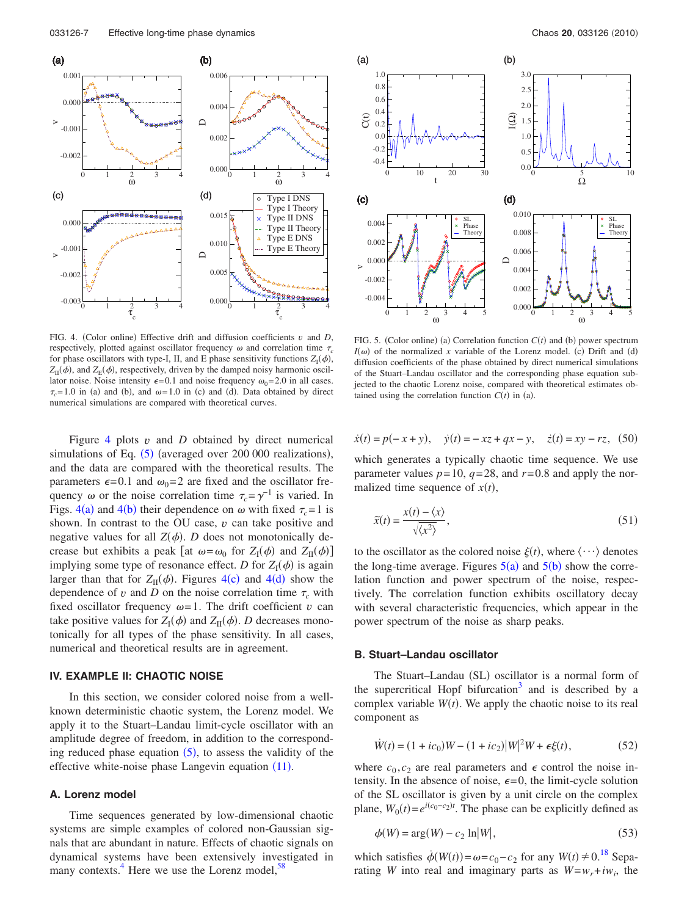<span id="page-6-0"></span>

FIG. 4. (Color online) Effective drift and diffusion coefficients  $v$  and  $D$ , respectively, plotted against oscillator frequency  $\omega$  and correlation time  $\tau_c$ for phase oscillators with type-I, II, and E phase sensitivity functions  $Z_{I}(\phi)$ ,  $Z_{II}(\phi)$ , and  $Z_{E}(\phi)$ , respectively, driven by the damped noisy harmonic oscillator noise. Noise intensity  $\epsilon = 0.1$  and noise frequency  $\omega_0 = 2.0$  in all cases.  $\tau_c$ = 1.0 in (a) and (b), and  $\omega$ = 1.0 in (c) and (d). Data obtained by direct numerical simulations are compared with theoretical curves.

Figure [4](#page-6-0) plots *v* and *D* obtained by direct numerical simulations of Eq.  $(5)$  $(5)$  $(5)$  (averaged over 200 000 realizations), and the data are compared with the theoretical results. The parameters  $\epsilon = 0.1$  and  $\omega_0 = 2$  are fixed and the oscillator frequency  $\omega$  or the noise correlation time  $\tau_c = \gamma^{-1}$  is varied. In Figs.  $4(a)$  $4(a)$  and  $4(b)$  their dependence on  $\omega$  with fixed  $\tau_c = 1$  is shown. In contrast to the OU case, *v* can take positive and negative values for all  $Z(\phi)$ . *D* does not monotonically decrease but exhibits a peak [at  $\omega = \omega_0$  for  $Z_I(\phi)$  and  $Z_{II}(\phi)$ ] implying some type of resonance effect. *D* for  $Z_I(\phi)$  is again larger than that for  $Z_{II}(\phi)$ . Figures [4](#page-6-0)(c) and 4(d) show the dependence of *v* and *D* on the noise correlation time  $\tau_c$  with fixed oscillator frequency  $\omega = 1$ . The drift coefficient *v* can take positive values for  $Z_{\rm I}(\phi)$  and  $Z_{\rm II}(\phi)$ . *D* decreases monotonically for all types of the phase sensitivity. In all cases, numerical and theoretical results are in agreement.

## **IV. EXAMPLE II: CHAOTIC NOISE**

In this section, we consider colored noise from a wellknown deterministic chaotic system, the Lorenz model. We apply it to the Stuart–Landau limit-cycle oscillator with an amplitude degree of freedom, in addition to the corresponding reduced phase equation  $(5)$  $(5)$  $(5)$ , to assess the validity of the effective white-noise phase Langevin equation ([11](#page-2-2)).

## **A. Lorenz model**

Time sequences generated by low-dimensional chaotic systems are simple examples of colored non-Gaussian signals that are abundant in nature. Effects of chaotic signals on dynamical systems have been extensively investigated in many contexts. $4$  Here we use the Lorenz model,  $58$ 

<span id="page-6-1"></span>

FIG. 5. (Color online) (a) Correlation function  $C(t)$  and (b) power spectrum  $I(\omega)$  of the normalized *x* variable of the Lorenz model. (c) Drift and (d) diffusion coefficients of the phase obtained by direct numerical simulations of the Stuart–Landau oscillator and the corresponding phase equation subjected to the chaotic Lorenz noise, compared with theoretical estimates obtained using the correlation function  $C(t)$  in (a).

$$
\dot{x}(t) = p(-x + y), \quad \dot{y}(t) = -xz + qx - y, \quad \dot{z}(t) = xy - rz, \tag{50}
$$

which generates a typically chaotic time sequence. We use parameter values  $p=10$ ,  $q=28$ , and  $r=0.8$  and apply the normalized time sequence of  $x(t)$ ,

$$
\widetilde{x}(t) = \frac{x(t) - \langle x \rangle}{\sqrt{\langle x^2 \rangle}},\tag{51}
$$

to the oscillator as the colored noise  $\xi(t)$ , where  $\langle \cdots \rangle$  denotes the long-time average. Figures  $5(a)$  $5(a)$  and  $5(b)$  show the correlation function and power spectrum of the noise, respectively. The correlation function exhibits oscillatory decay with several characteristic frequencies, which appear in the power spectrum of the noise as sharp peaks.

#### **B. Stuart–Landau oscillator**

The Stuart-Landau (SL) oscillator is a normal form of the supercritical Hopf bifurcation<sup>3</sup> and is described by a complex variable  $W(t)$ . We apply the chaotic noise to its real component as

<span id="page-6-2"></span>
$$
\dot{W}(t) = (1 + ic_0)W - (1 + ic_2)|W|^2W + \epsilon \xi(t),
$$
\n(52)

where  $c_0, c_2$  are real parameters and  $\epsilon$  control the noise intensity. In the absence of noise,  $\epsilon = 0$ , the limit-cycle solution of the SL oscillator is given by a unit circle on the complex plane,  $W_0(t) = e^{i(c_0 - c_2)t}$ . The phase can be explicitly defined as

$$
\phi(W) = \arg(W) - c_2 \ln|W|,\tag{53}
$$

which satisfies  $\dot{\phi}(W(t)) = \omega = c_0 - c_2$  for any  $W(t) \neq 0$ .<sup>18</sup> Separating *W* into real and imaginary parts as  $W = w_r + iw_i$ , the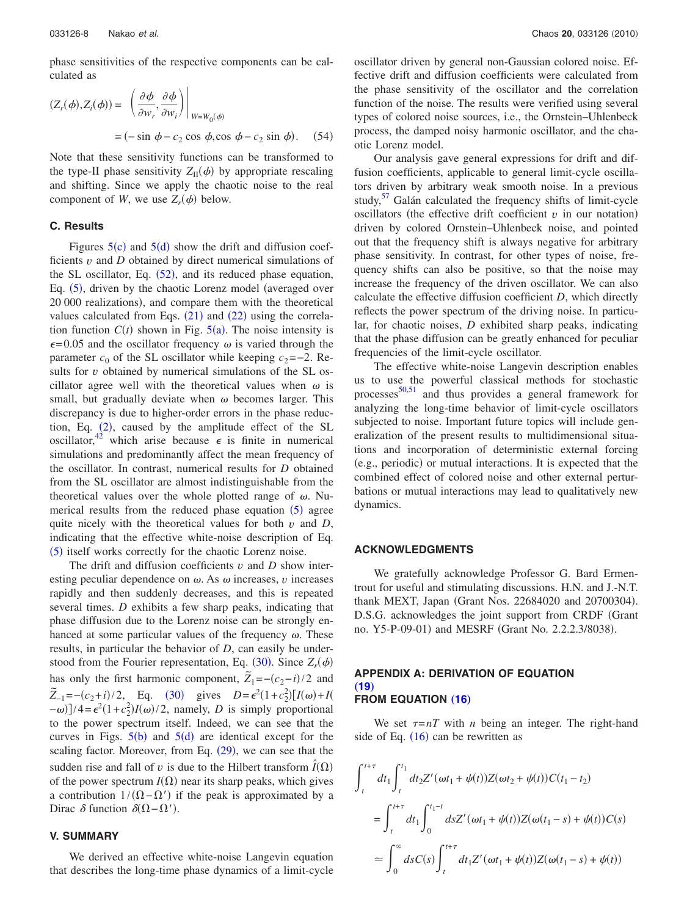phase sensitivities of the respective components can be calculated as

$$
(Z_r(\phi), Z_i(\phi)) = \left. \left( \frac{\partial \phi}{\partial w_r}, \frac{\partial \phi}{\partial w_i} \right) \right|_{W = W_0(\phi)}
$$
  
=  $(-\sin \phi - c_2 \cos \phi, \cos \phi - c_2 \sin \phi).$  (54)

Note that these sensitivity functions can be transformed to the type-II phase sensitivity  $Z_{II}(\phi)$  by appropriate rescaling and shifting. Since we apply the chaotic noise to the real component of *W*, we use  $Z_r(\phi)$  below.

# **C. Results**

Figures  $5(c)$  $5(c)$  and  $5(d)$  show the drift and diffusion coefficients *v* and *D* obtained by direct numerical simulations of the SL oscillator, Eq.  $(52)$  $(52)$  $(52)$ , and its reduced phase equation, Eq. ([5](#page-1-2)), driven by the chaotic Lorenz model (averaged over 20 000 realizations, and compare them with the theoretical values calculated from Eqs.  $(21)$  $(21)$  $(21)$  and  $(22)$  $(22)$  $(22)$  using the correlation function  $C(t)$  shown in Fig.  $5(a)$  $5(a)$ . The noise intensity is  $\epsilon$ =0.05 and the oscillator frequency  $\omega$  is varied through the parameter  $c_0$  of the SL oscillator while keeping  $c_2$ =−2. Results for *v* obtained by numerical simulations of the SL oscillator agree well with the theoretical values when  $\omega$  is small, but gradually deviate when  $\omega$  becomes larger. This discrepancy is due to higher-order errors in the phase reduction, Eq.  $(2)$  $(2)$  $(2)$ , caused by the amplitude effect of the SL oscillator,<sup>42</sup> which arise because  $\epsilon$  is finite in numerical simulations and predominantly affect the mean frequency of the oscillator. In contrast, numerical results for *D* obtained from the SL oscillator are almost indistinguishable from the theoretical values over the whole plotted range of  $\omega$ . Nu-merical results from the reduced phase equation ([5](#page-1-2)) agree quite nicely with the theoretical values for both *v* and *D*, indicating that the effective white-noise description of Eq. ([5](#page-1-2)) itself works correctly for the chaotic Lorenz noise.

The drift and diffusion coefficients  $v$  and  $D$  show interesting peculiar dependence on  $\omega$ . As  $\omega$  increases,  $\nu$  increases rapidly and then suddenly decreases, and this is repeated several times. *D* exhibits a few sharp peaks, indicating that phase diffusion due to the Lorenz noise can be strongly enhanced at some particular values of the frequency  $\omega$ . These results, in particular the behavior of *D*, can easily be understood from the Fourier representation, Eq.  $(30)$  $(30)$  $(30)$ . Since  $Z_r(\phi)$ has only the first harmonic component,  $\tilde{Z}_1 = -(c_2 - i)/2$  and  $\tilde{Z}_{-1} = -(c_2 + i)/2$ , Eq. ([30](#page-3-2)) gives  $D = \epsilon^2 (1 + c_2^2) [I(\omega) + I(\omega)]$  $(-\omega)$ ]/4= $\epsilon^2(1+c_2^2)I(\omega)/2$ , namely, *D* is simply proportional to the power spectrum itself. Indeed, we can see that the curves in Figs.  $5(b)$  $5(b)$  and  $5(d)$  are identical except for the scaling factor. Moreover, from Eq. ([29](#page-3-3)), we can see that the sudden rise and fall of *v* is due to the Hilbert transform  $\hat{I}(\Omega)$ of the power spectrum  $I(\Omega)$  near its sharp peaks, which gives a contribution  $1/(\Omega - \Omega')$  if the peak is approximated by a Dirac  $\delta$  function  $\delta(\Omega - \Omega')$ .

## **V. SUMMARY**

We derived an effective white-noise Langevin equation that describes the long-time phase dynamics of a limit-cycle oscillator driven by general non-Gaussian colored noise. Effective drift and diffusion coefficients were calculated from the phase sensitivity of the oscillator and the correlation function of the noise. The results were verified using several types of colored noise sources, i.e., the Ornstein–Uhlenbeck process, the damped noisy harmonic oscillator, and the chaotic Lorenz model.

Our analysis gave general expressions for drift and diffusion coefficients, applicable to general limit-cycle oscillators driven by arbitrary weak smooth noise. In a previous study, $57$  Galán calculated the frequency shifts of limit-cycle oscillators (the effective drift coefficient  $v$  in our notation) driven by colored Ornstein–Uhlenbeck noise, and pointed out that the frequency shift is always negative for arbitrary phase sensitivity. In contrast, for other types of noise, frequency shifts can also be positive, so that the noise may increase the frequency of the driven oscillator. We can also calculate the effective diffusion coefficient *D*, which directly reflects the power spectrum of the driving noise. In particular, for chaotic noises, *D* exhibited sharp peaks, indicating that the phase diffusion can be greatly enhanced for peculiar frequencies of the limit-cycle oscillator.

The effective white-noise Langevin description enables us to use the powerful classical methods for stochastic processes<sup>[50,](#page-9-21)[51](#page-9-22)</sup> and thus provides a general framework for analyzing the long-time behavior of limit-cycle oscillators subjected to noise. Important future topics will include generalization of the present results to multidimensional situations and incorporation of deterministic external forcing (e.g., periodic) or mutual interactions. It is expected that the combined effect of colored noise and other external perturbations or mutual interactions may lead to qualitatively new dynamics.

# **ACKNOWLEDGMENTS**

We gratefully acknowledge Professor G. Bard Ermentrout for useful and stimulating discussions. H.N. and J.-N.T. thank MEXT, Japan (Grant Nos. 22684020 and 20700304). D.S.G. acknowledges the joint support from CRDF (Grant no. Y5-P-09-01) and MESRF (Grant No. 2.2.2.3/8038).

# **APPENDIX A: DERIVATION OF EQUATION**  $(19)$  $(19)$  $(19)$ **FROM EQUATION ([16](#page-2-5))**

We set  $\tau = nT$  with *n* being an integer. The right-hand side of Eq.  $(16)$  $(16)$  $(16)$  can be rewritten as

$$
\int_{t}^{t+\tau} dt_1 \int_{t}^{t_1} dt_2 Z'(\omega t_1 + \psi(t)) Z(\omega t_2 + \psi(t)) C(t_1 - t_2)
$$
  
= 
$$
\int_{t}^{t+\tau} dt_1 \int_{0}^{t_1 - t} ds Z'(\omega t_1 + \psi(t)) Z(\omega(t_1 - s) + \psi(t)) C(s)
$$
  

$$
\approx \int_{0}^{\infty} ds C(s) \int_{t}^{t+\tau} dt_1 Z'(\omega t_1 + \psi(t)) Z(\omega(t_1 - s) + \psi(t))
$$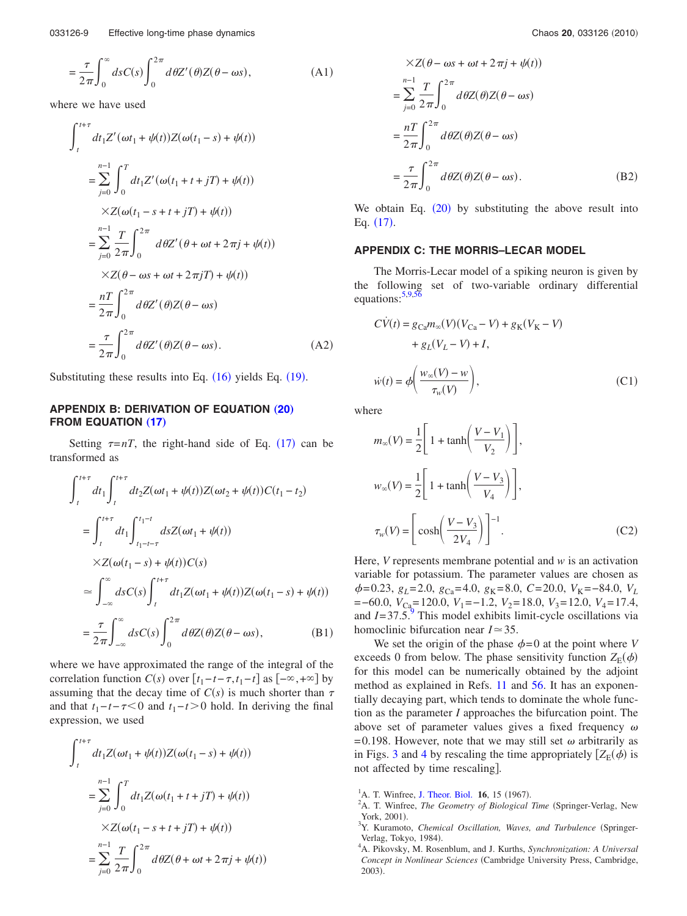$$
= \frac{\tau}{2\pi} \int_0^\infty ds C(s) \int_0^{2\pi} d\theta Z'(\theta) Z(\theta - \omega s), \tag{A1}
$$

where we have used

$$
\int_{t}^{t+\tau} dt_1 Z'(\omega t_1 + \psi(t)) Z(\omega(t_1 - s) + \psi(t))
$$
  
\n
$$
= \sum_{j=0}^{n-1} \int_{0}^{T} dt_1 Z'(\omega(t_1 + t + jT) + \psi(t))
$$
  
\n
$$
\times Z(\omega(t_1 - s + t + jT) + \psi(t))
$$
  
\n
$$
= \sum_{j=0}^{n-1} \frac{T}{2\pi} \int_{0}^{2\pi} d\theta Z'(\theta + \omega t + 2\pi j + \psi(t))
$$
  
\n
$$
\times Z(\theta - \omega s + \omega t + 2\pi jT) + \psi(t))
$$
  
\n
$$
= \frac{nT}{2\pi} \int_{0}^{2\pi} d\theta Z'(\theta) Z(\theta - \omega s)
$$
  
\n
$$
= \frac{\tau}{2\pi} \int_{0}^{2\pi} d\theta Z'(\theta) Z(\theta - \omega s).
$$
 (A2)

Substituting these results into Eq.  $(16)$  $(16)$  $(16)$  yields Eq.  $(19)$  $(19)$  $(19)$ .

# **APPENDIX B: DERIVATION OF EQUATION ([20](#page-2-6)) FROM EQUATION ([17](#page-2-7))**

Setting  $\tau = nT$ , the right-hand side of Eq. ([17](#page-2-7)) can be transformed as

$$
\int_{t}^{t+\tau} dt_1 \int_{t}^{t+\tau} dt_2 Z(\omega t_1 + \psi(t)) Z(\omega t_2 + \psi(t)) C(t_1 - t_2)
$$
  
\n
$$
= \int_{t}^{t+\tau} dt_1 \int_{t_1 - t - \tau}^{t_1 - t} ds Z(\omega t_1 + \psi(t))
$$
  
\n
$$
\times Z(\omega(t_1 - s) + \psi(t)) C(s)
$$
  
\n
$$
\approx \int_{-\infty}^{\infty} ds C(s) \int_{t}^{t+\tau} dt_1 Z(\omega t_1 + \psi(t)) Z(\omega(t_1 - s) + \psi(t))
$$
  
\n
$$
= \frac{\tau}{2\pi} \int_{-\infty}^{\infty} ds C(s) \int_{0}^{2\pi} d\theta Z(\theta) Z(\theta - \omega s),
$$
 (B1)

where we have approximated the range of the integral of the correlation function *C*(*s*) over  $[t_1 - t - \tau, t_1 - t]$  as  $[-\infty, +\infty]$  by assuming that the decay time of  $C(s)$  is much shorter than  $\tau$ and that  $t_1 - t - \tau < 0$  and  $t_1 - t > 0$  hold. In deriving the final expression, we used

$$
\int_{t}^{t+\tau} dt_1 Z(\omega t_1 + \psi(t)) Z(\omega(t_1 - s) + \psi(t))
$$
\n
$$
= \sum_{j=0}^{n-1} \int_{0}^{T} dt_1 Z(\omega(t_1 + t + jT) + \psi(t))
$$
\n
$$
\times Z(\omega(t_1 - s + t + jT) + \psi(t))
$$
\n
$$
= \sum_{j=0}^{n-1} \frac{T}{2\pi} \int_{0}^{2\pi} d\theta Z(\theta + \omega t + 2\pi j + \psi(t))
$$

$$
\times Z(\theta - \omega s + \omega t + 2\pi j + \psi(t))
$$
  
= 
$$
\sum_{j=0}^{n-1} \frac{T}{2\pi} \int_0^{2\pi} d\theta Z(\theta) Z(\theta - \omega s)
$$
  
= 
$$
\frac{nT}{2\pi} \int_0^{2\pi} d\theta Z(\theta) Z(\theta - \omega s)
$$
  
= 
$$
\frac{\tau}{2\pi} \int_0^{2\pi} d\theta Z(\theta) Z(\theta - \omega s).
$$
 (B2)

We obtain Eq.  $(20)$  $(20)$  $(20)$  by substituting the above result into Eq.  $(17)$  $(17)$  $(17)$ .

#### **APPENDIX C: THE MORRIS–LECAR MODEL**

The Morris-Lecar model of a spiking neuron is given by the following set of two-variable ordinary differential equations:<sup>5,[9,](#page-9-1)[56](#page-9-29)</sup>

$$
C\dot{V}(t) = g_{Ca}m_{\infty}(V)(V_{Ca} - V) + g_{K}(V_{K} - V)
$$
  
+  $g_{L}(V_{L} - V) + I$ ,  

$$
\dot{w}(t) = \phi\left(\frac{w_{\infty}(V) - w}{\tau_{w}(V)}\right),
$$
 (C1)

where

$$
m_{\infty}(V) = \frac{1}{2} \left[ 1 + \tanh\left(\frac{V - V_1}{V_2}\right) \right],
$$
  

$$
w_{\infty}(V) = \frac{1}{2} \left[ 1 + \tanh\left(\frac{V - V_3}{V_4}\right) \right],
$$
  

$$
\tau_w(V) = \left[ \cosh\left(\frac{V - V_3}{2V_4}\right) \right]^{-1}.
$$
 (C2)

Here, *V* represents membrane potential and *w* is an activation variable for potassium. The parameter values are chosen as  $\phi$ = 0.23,  $g_L$ = 2.0,  $g_{Ca}$ = 4.0,  $g_K$ = 8.0,  $C$ = 20.0,  $V_K$ = -84.0,  $V_L$ =−60.0, *V*<sub>Ca</sub>=120.0, *V*<sub>1</sub>=−1.2, *V*<sub>2</sub>=18.0, *V*<sub>3</sub>=12.0, *V*<sub>4</sub>=17.4, and  $I=37.5^\circ$ . This model exhibits limit-cycle oscillations via homoclinic bifurcation near  $I \approx 35$ .

We set the origin of the phase  $\phi = 0$  at the point where *V* exceeds 0 from below. The phase sensitivity function  $Z_E(\phi)$ for this model can be numerically obtained by the adjoint method as explained in Refs. [11](#page-9-28) and [56.](#page-9-29) It has an exponentially decaying part, which tends to dominate the whole function as the parameter *I* approaches the bifurcation point. The above set of parameter values gives a fixed frequency  $\omega$ = 0.198. However, note that we may still set  $\omega$  arbitrarily as in Figs. [3](#page-5-0) and [4](#page-6-0) by rescaling the time appropriately  $[Z_E(\phi)]$  is not affected by time rescaling.

<span id="page-8-0"></span><sup>&</sup>lt;sup>1</sup>A. T. Winfree, [J. Theor. Biol.](http://dx.doi.org/10.1016/0022-5193(67)90051-3) **16**, 15 (1967).

<span id="page-8-1"></span>A. T. Winfree, The Geometry of Biological Time (Springer-Verlag, New York, 2001).

<span id="page-8-3"></span>Y. Kuramoto, Chemical Oscillation, Waves, and Turbulence (Springer-Verlag, Tokyo, 1984).

<span id="page-8-2"></span>A. Pikovsky, M. Rosenblum, and J. Kurths, *Synchronization: A Universal* Concept in Nonlinear Sciences (Cambridge University Press, Cambridge, 2003).